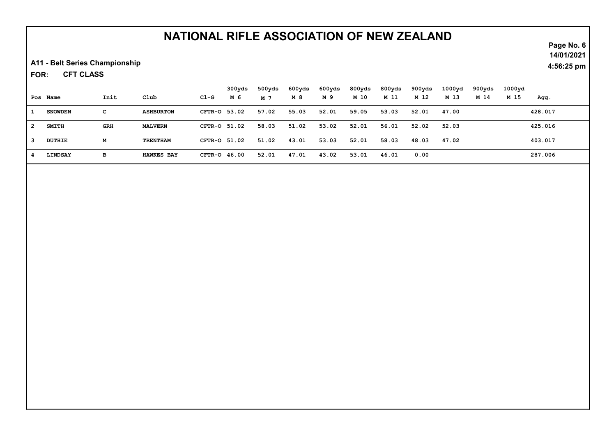## NATIONAL RIFLE ASSOCIATION OF NEW ZEALAND

A11 - Belt Series Championship

CFT CLASS FOR:

|   |                |            |                   |                | 300yds | 500yds | 600yds | 600yds | 800yds | 800yds | 900yds | 1000 <sub>yd</sub> | 900yds | 1000yd |         |
|---|----------------|------------|-------------------|----------------|--------|--------|--------|--------|--------|--------|--------|--------------------|--------|--------|---------|
|   | Pos Name       | Init       | Club              | Cl-G           | м 6    | M 7    | M 8    | M 9    | M 10   | M 11   | M 12   | M 13               | M 14   | M 15   | Agg.    |
|   | <b>SNOWDEN</b> | с          | <b>ASHBURTON</b>  | CFTR-0 53.02   |        | 57.02  | 55.03  | 52.01  | 59.05  | 53.03  | 52.01  | 47.00              |        |        | 428.017 |
| 2 | <b>SMITH</b>   | <b>GRH</b> | <b>MALVERN</b>    | CFTR-0 51.02   |        | 58.03  | 51.02  | 53.02  | 52.01  | 56.01  | 52.02  | 52.03              |        |        | 425.016 |
|   | DUTHIE         | м          | <b>TRENTHAM</b>   | CFTR-0 51.02   |        | 51.02  | 43.01  | 53.03  | 52.01  | 58.03  | 48.03  | 47.02              |        |        | 403.017 |
|   | LINDSAY        | в          | <b>HAWKES BAY</b> | $CFTR-O$ 46.00 |        | 52.01  | 47.01  | 43.02  | 53.01  | 46.01  | 0.00   |                    |        |        | 287.006 |

Page No. 6 14/01/2021

4:56:25 pm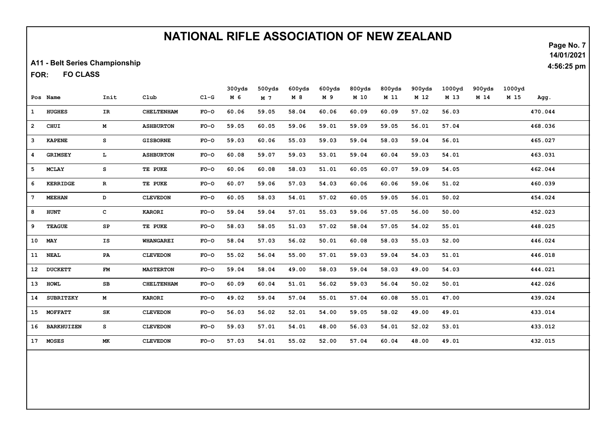## NATIONAL RIFLE ASSOCIATION OF NEW ZEALAND

A11 - Belt Series Championship

FO CLASS FOR:

|                 |                   |               |                   |        | 300yds | 500yds         | 600yds | 600yds | 800yds | 800yds | 900yds | 1000yd | 900yds | 1000yd |         |
|-----------------|-------------------|---------------|-------------------|--------|--------|----------------|--------|--------|--------|--------|--------|--------|--------|--------|---------|
|                 | Pos Name          | Init          | C1ub              | $CL-G$ | M 6    | M <sub>7</sub> | M8     | M 9    | M 10   | M 11   | M 12   | M 13   | M 14   | M 15   | Agg.    |
| $\mathbf{1}$    | <b>HUGHES</b>     | IR            | <b>CHELTENHAM</b> | $FO-O$ | 60.06  | 59.05          | 58.04  | 60.06  | 60.09  | 60.09  | 57.02  | 56.03  |        |        | 470.044 |
| $\mathbf{2}$    | <b>CHUI</b>       | M             | <b>ASHBURTON</b>  | $FO-O$ | 59.05  | 60.05          | 59.06  | 59.01  | 59.09  | 59.05  | 56.01  | 57.04  |        |        | 468.036 |
| 3               | <b>KAPENE</b>     | s             | <b>GISBORNE</b>   | $FO-O$ | 59.03  | 60.06          | 55.03  | 59.03  | 59.04  | 58.03  | 59.04  | 56.01  |        |        | 465.027 |
| 4               | <b>GRIMSEY</b>    | L.            | <b>ASHBURTON</b>  | $FO-O$ | 60.08  | 59.07          | 59.03  | 53.01  | 59.04  | 60.04  | 59.03  | 54.01  |        |        | 463.031 |
| 5               | <b>MCLAY</b>      | s             | TE PUKE           | $FO-O$ | 60.06  | 60.08          | 58.03  | 51.01  | 60.05  | 60.07  | 59.09  | 54.05  |        |        | 462.044 |
| 6               | <b>KERRIDGE</b>   | $\mathbf{R}$  | TE PUKE           | $FO-O$ | 60.07  | 59.06          | 57.03  | 54.03  | 60.06  | 60.06  | 59.06  | 51.02  |        |        | 460.039 |
| $7\phantom{.0}$ | <b>MEEHAN</b>     | D             | <b>CLEVEDON</b>   | $FO-O$ | 60.05  | 58.03          | 54.01  | 57.02  | 60.05  | 59.05  | 56.01  | 50.02  |        |        | 454.024 |
| 8               | <b>HUNT</b>       | c             | <b>KARORI</b>     | $FO-O$ | 59.04  | 59.04          | 57.01  | 55.03  | 59.06  | 57.05  | 56.00  | 50.00  |        |        | 452.023 |
| 9               | <b>TEAGUE</b>     | SP            | TE PUKE           | $FO-O$ | 58.03  | 58.05          | 51.03  | 57.02  | 58.04  | 57.05  | 54.02  | 55.01  |        |        | 448.025 |
| 10              | MAY               | IS            | <b>WHANGAREI</b>  | $FO-O$ | 58.04  | 57.03          | 56.02  | 50.01  | 60.08  | 58.03  | 55.03  | 52.00  |        |        | 446.024 |
| 11              | <b>NEAL</b>       | PA            | <b>CLEVEDON</b>   | $FO-O$ | 55.02  | 56.04          | 55.00  | 57.01  | 59.03  | 59.04  | 54.03  | 51.01  |        |        | 446.018 |
| 12              | <b>DUCKETT</b>    | $\mathbf{FM}$ | <b>MASTERTON</b>  | $FO-O$ | 59.04  | 58.04          | 49.00  | 58.03  | 59.04  | 58.03  | 49.00  | 54.03  |        |        | 444.021 |
| 13 <sup>7</sup> | <b>HOWL</b>       | SB            | <b>CHELTENHAM</b> | $FO-O$ | 60.09  | 60.04          | 51.01  | 56.02  | 59.03  | 56.04  | 50.02  | 50.01  |        |        | 442.026 |
| 14              | <b>SUBRITZKY</b>  | M             | <b>KARORI</b>     | $FO-O$ | 49.02  | 59.04          | 57.04  | 55.01  | 57.04  | 60.08  | 55.01  | 47.00  |        |        | 439.024 |
| 15              | <b>MOFFATT</b>    | SK            | <b>CLEVEDON</b>   | $FO-O$ | 56.03  | 56.02          | 52.01  | 54.00  | 59.05  | 58.02  | 49.00  | 49.01  |        |        | 433.014 |
| 16              | <b>BARKHUIZEN</b> | s             | <b>CLEVEDON</b>   | $FO-O$ | 59.03  | 57.01          | 54.01  | 48.00  | 56.03  | 54.01  | 52.02  | 53.01  |        |        | 433.012 |
| 17              | <b>MOSES</b>      | MK            | <b>CLEVEDON</b>   | $FO-O$ | 57.03  | 54.01          | 55.02  | 52.00  | 57.04  | 60.04  | 48.00  | 49.01  |        |        | 432.015 |

Page No. 7 14/01/2021

4:56:25 pm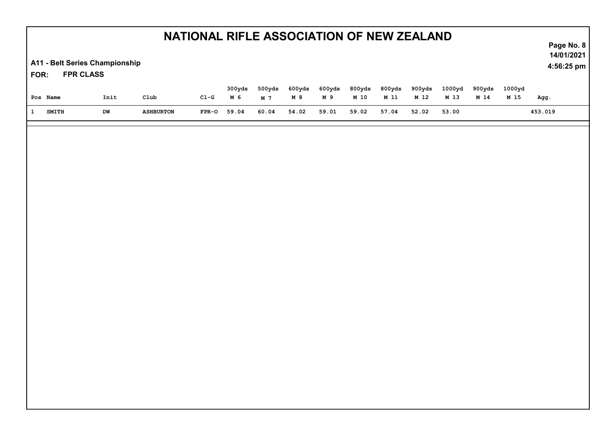| NATIONAL RIFLE ASSOCIATION OF NEW ZEALAND<br>A11 - Belt Series Championship<br><b>FPR CLASS</b><br>FOR: |      |                  |        |               |                          |              |               |                |                |                |                |                | Page No. 8<br>14/01/2021<br>4:56:25 pm |         |
|---------------------------------------------------------------------------------------------------------|------|------------------|--------|---------------|--------------------------|--------------|---------------|----------------|----------------|----------------|----------------|----------------|----------------------------------------|---------|
| Pos Name                                                                                                | Init | C1ub             | $C1-G$ | 300yds<br>M 6 | 500yds<br>M <sub>7</sub> | 600yds<br>M8 | 600yds<br>M 9 | 800yds<br>M 10 | 800yds<br>M 11 | 900yds<br>M 12 | 1000yd<br>M 13 | 900yds<br>M 14 | 1000yd<br>M 15                         | Agg.    |
| <b>SMITH</b><br>$\mathbf{1}$                                                                            | DW   | <b>ASHBURTON</b> | FPR-O  | 59.04         | 60.04                    | 54.02        | 59.01         | 59.02          | 57.04          | 52.02          | 53.00          |                |                                        | 453.019 |
|                                                                                                         |      |                  |        |               |                          |              |               |                |                |                |                |                |                                        |         |
|                                                                                                         |      |                  |        |               |                          |              |               |                |                |                |                |                |                                        |         |
|                                                                                                         |      |                  |        |               |                          |              |               |                |                |                |                |                |                                        |         |
|                                                                                                         |      |                  |        |               |                          |              |               |                |                |                |                |                |                                        |         |
|                                                                                                         |      |                  |        |               |                          |              |               |                |                |                |                |                |                                        |         |
|                                                                                                         |      |                  |        |               |                          |              |               |                |                |                |                |                |                                        |         |
|                                                                                                         |      |                  |        |               |                          |              |               |                |                |                |                |                |                                        |         |
|                                                                                                         |      |                  |        |               |                          |              |               |                |                |                |                |                |                                        |         |
|                                                                                                         |      |                  |        |               |                          |              |               |                |                |                |                |                |                                        |         |
|                                                                                                         |      |                  |        |               |                          |              |               |                |                |                |                |                |                                        |         |